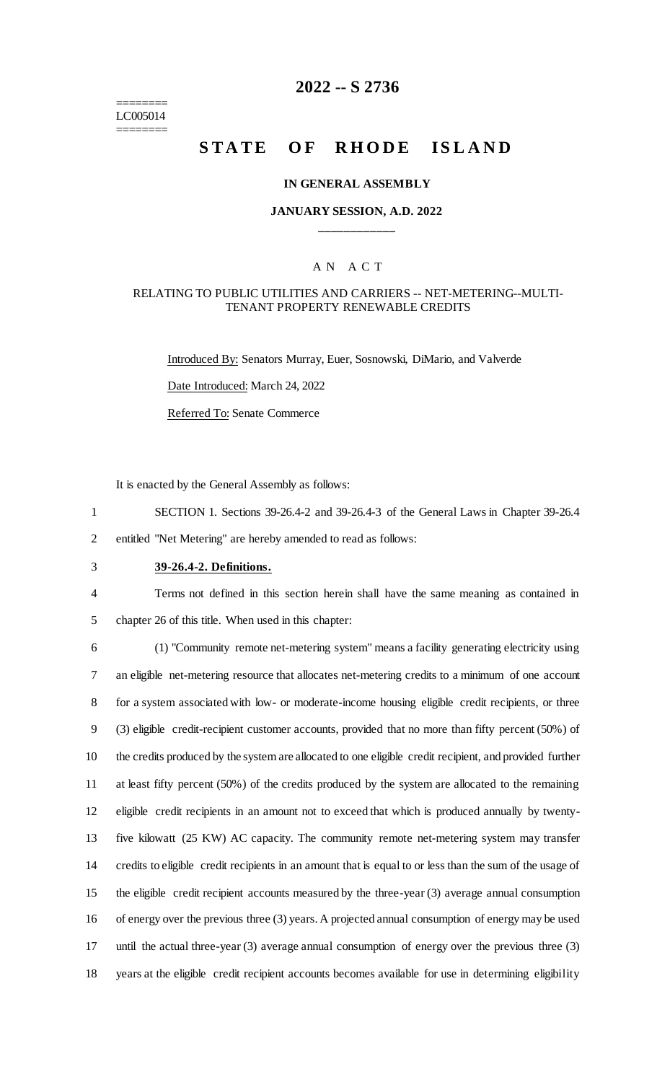======== LC005014 ========

# **2022 -- S 2736**

# **STATE OF RHODE ISLAND**

#### **IN GENERAL ASSEMBLY**

### **JANUARY SESSION, A.D. 2022 \_\_\_\_\_\_\_\_\_\_\_\_**

### A N A C T

#### RELATING TO PUBLIC UTILITIES AND CARRIERS -- NET-METERING--MULTI-TENANT PROPERTY RENEWABLE CREDITS

Introduced By: Senators Murray, Euer, Sosnowski, DiMario, and Valverde Date Introduced: March 24, 2022 Referred To: Senate Commerce

It is enacted by the General Assembly as follows:

- 1 SECTION 1. Sections 39-26.4-2 and 39-26.4-3 of the General Laws in Chapter 39-26.4
- 2 entitled "Net Metering" are hereby amended to read as follows:
- 3 **39-26.4-2. Definitions.**
	-

4 Terms not defined in this section herein shall have the same meaning as contained in 5 chapter 26 of this title. When used in this chapter:

 (1) "Community remote net-metering system" means a facility generating electricity using an eligible net-metering resource that allocates net-metering credits to a minimum of one account for a system associated with low- or moderate-income housing eligible credit recipients, or three (3) eligible credit-recipient customer accounts, provided that no more than fifty percent (50%) of the credits produced by the system are allocated to one eligible credit recipient, and provided further at least fifty percent (50%) of the credits produced by the system are allocated to the remaining eligible credit recipients in an amount not to exceed that which is produced annually by twenty- five kilowatt (25 KW) AC capacity. The community remote net-metering system may transfer credits to eligible credit recipients in an amount that is equal to or less than the sum of the usage of the eligible credit recipient accounts measured by the three-year (3) average annual consumption of energy over the previous three (3) years. A projected annual consumption of energy may be used until the actual three-year (3) average annual consumption of energy over the previous three (3) years at the eligible credit recipient accounts becomes available for use in determining eligibility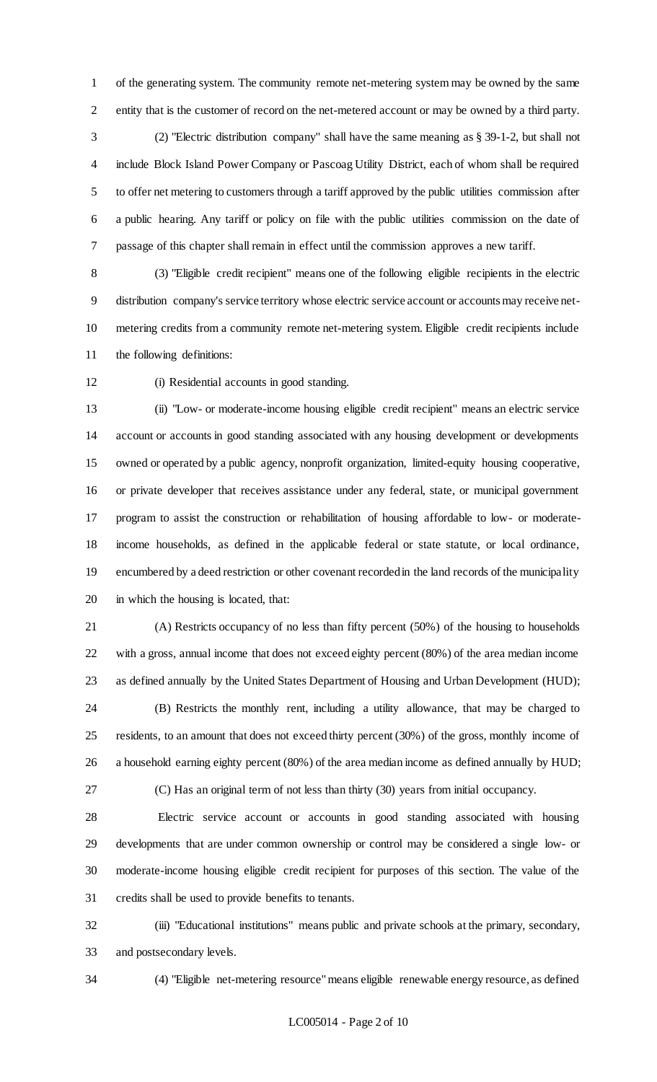of the generating system. The community remote net-metering system may be owned by the same entity that is the customer of record on the net-metered account or may be owned by a third party.

 (2) "Electric distribution company" shall have the same meaning as § 39-1-2, but shall not include Block Island Power Company or Pascoag Utility District, each of whom shall be required to offer net metering to customers through a tariff approved by the public utilities commission after a public hearing. Any tariff or policy on file with the public utilities commission on the date of passage of this chapter shall remain in effect until the commission approves a new tariff.

 (3) "Eligible credit recipient" means one of the following eligible recipients in the electric distribution company's service territory whose electric service account or accounts may receive net- metering credits from a community remote net-metering system. Eligible credit recipients include the following definitions:

(i) Residential accounts in good standing.

 (ii) "Low- or moderate-income housing eligible credit recipient" means an electric service account or accounts in good standing associated with any housing development or developments owned or operated by a public agency, nonprofit organization, limited-equity housing cooperative, or private developer that receives assistance under any federal, state, or municipal government program to assist the construction or rehabilitation of housing affordable to low- or moderate- income households, as defined in the applicable federal or state statute, or local ordinance, encumbered by a deed restriction or other covenant recorded in the land records of the municipality in which the housing is located, that:

 (A) Restricts occupancy of no less than fifty percent (50%) of the housing to households with a gross, annual income that does not exceed eighty percent (80%) of the area median income as defined annually by the United States Department of Housing and Urban Development (HUD);

 (B) Restricts the monthly rent, including a utility allowance, that may be charged to residents, to an amount that does not exceed thirty percent (30%) of the gross, monthly income of a household earning eighty percent (80%) of the area median income as defined annually by HUD;

(C) Has an original term of not less than thirty (30) years from initial occupancy.

 Electric service account or accounts in good standing associated with housing developments that are under common ownership or control may be considered a single low- or moderate-income housing eligible credit recipient for purposes of this section. The value of the credits shall be used to provide benefits to tenants.

 (iii) "Educational institutions" means public and private schools at the primary, secondary, and postsecondary levels.

(4) "Eligible net-metering resource" means eligible renewable energy resource, as defined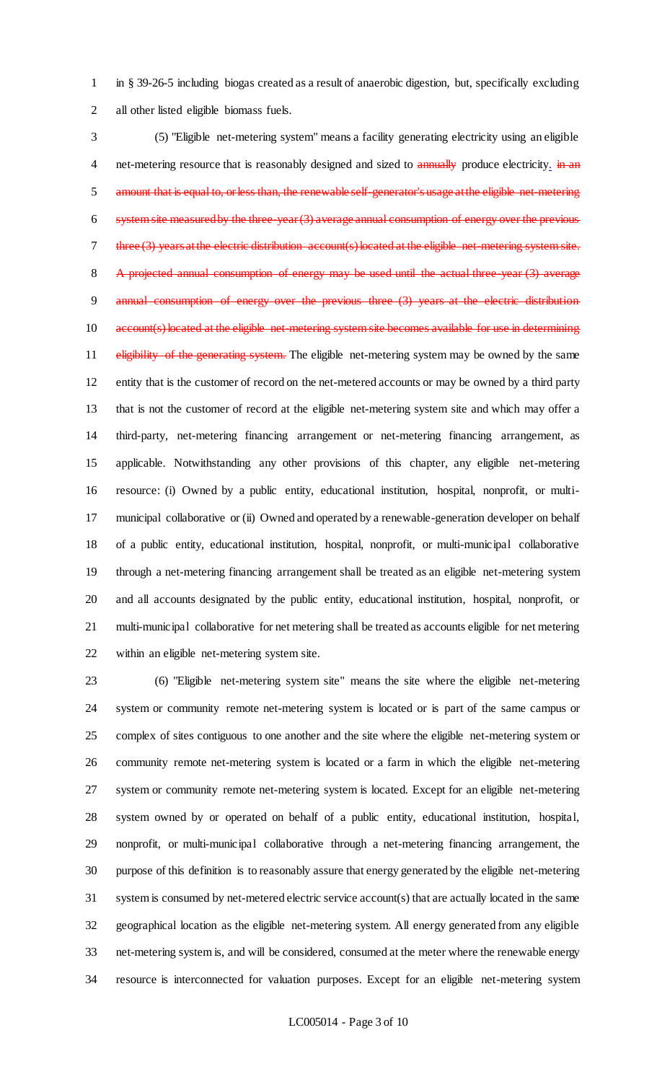in § 39-26-5 including biogas created as a result of anaerobic digestion, but, specifically excluding all other listed eligible biomass fuels.

 (5) "Eligible net-metering system" means a facility generating electricity using an eligible 4 net-metering resource that is reasonably designed and sized to annually produce electricity. in an 5 amount that is equal to, or less than, the renewable self-generator's usage at the eligible net-metering system site measured by the three-year (3) average annual consumption of energy over the previous 7 three (3) years at the electric distribution account(s) located at the eligible net-metering system site. 8 A projected annual consumption of energy may be used until the actual three-year (3) average 9 annual consumption of energy over the previous three (3) years at the electric distribution 10 account(s) located at the eligible net-metering system site becomes available for use in determining 11 eligibility of the generating system. The eligible net-metering system may be owned by the same entity that is the customer of record on the net-metered accounts or may be owned by a third party that is not the customer of record at the eligible net-metering system site and which may offer a third-party, net-metering financing arrangement or net-metering financing arrangement, as applicable. Notwithstanding any other provisions of this chapter, any eligible net-metering resource: (i) Owned by a public entity, educational institution, hospital, nonprofit, or multi- municipal collaborative or (ii) Owned and operated by a renewable-generation developer on behalf of a public entity, educational institution, hospital, nonprofit, or multi-municipal collaborative through a net-metering financing arrangement shall be treated as an eligible net-metering system and all accounts designated by the public entity, educational institution, hospital, nonprofit, or multi-municipal collaborative for net metering shall be treated as accounts eligible for net metering within an eligible net-metering system site.

 (6) "Eligible net-metering system site" means the site where the eligible net-metering system or community remote net-metering system is located or is part of the same campus or complex of sites contiguous to one another and the site where the eligible net-metering system or community remote net-metering system is located or a farm in which the eligible net-metering system or community remote net-metering system is located. Except for an eligible net-metering system owned by or operated on behalf of a public entity, educational institution, hospital, nonprofit, or multi-municipal collaborative through a net-metering financing arrangement, the purpose of this definition is to reasonably assure that energy generated by the eligible net-metering system is consumed by net-metered electric service account(s) that are actually located in the same geographical location as the eligible net-metering system. All energy generated from any eligible net-metering system is, and will be considered, consumed at the meter where the renewable energy resource is interconnected for valuation purposes. Except for an eligible net-metering system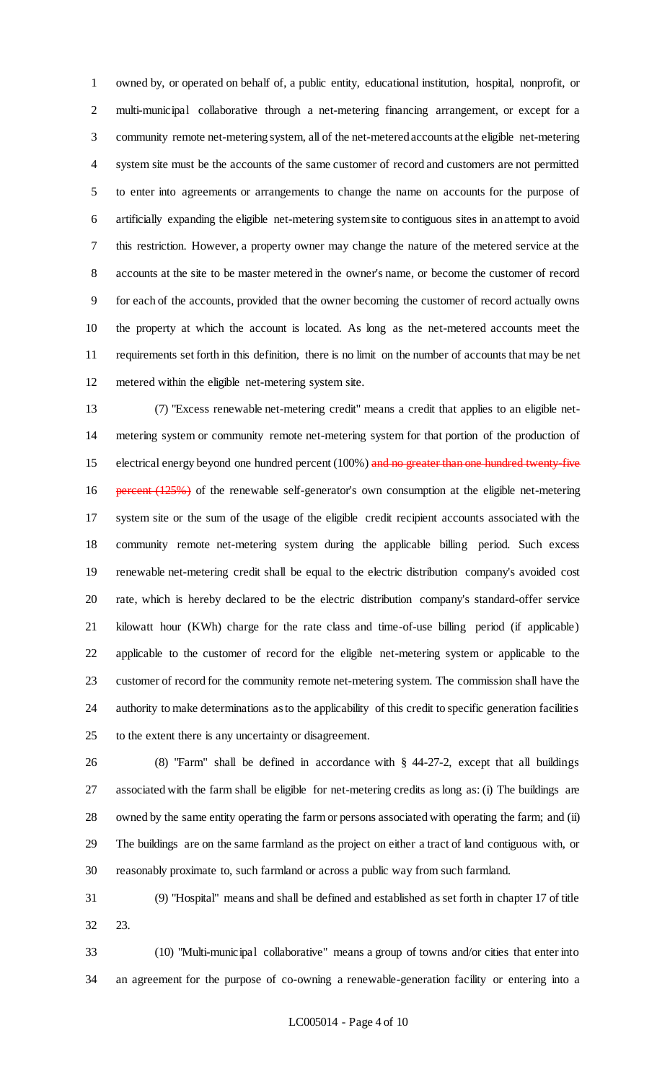owned by, or operated on behalf of, a public entity, educational institution, hospital, nonprofit, or multi-municipal collaborative through a net-metering financing arrangement, or except for a community remote net-metering system, all of the net-metered accounts at the eligible net-metering system site must be the accounts of the same customer of record and customers are not permitted to enter into agreements or arrangements to change the name on accounts for the purpose of artificially expanding the eligible net-metering system site to contiguous sites in an attempt to avoid this restriction. However, a property owner may change the nature of the metered service at the accounts at the site to be master metered in the owner's name, or become the customer of record for each of the accounts, provided that the owner becoming the customer of record actually owns the property at which the account is located. As long as the net-metered accounts meet the requirements set forth in this definition, there is no limit on the number of accounts that may be net metered within the eligible net-metering system site.

 (7) "Excess renewable net-metering credit" means a credit that applies to an eligible net- metering system or community remote net-metering system for that portion of the production of 15 electrical energy beyond one hundred percent (100%) and no greater than one hundred twenty-five 16 percent (125%) of the renewable self-generator's own consumption at the eligible net-metering system site or the sum of the usage of the eligible credit recipient accounts associated with the community remote net-metering system during the applicable billing period. Such excess renewable net-metering credit shall be equal to the electric distribution company's avoided cost rate, which is hereby declared to be the electric distribution company's standard-offer service kilowatt hour (KWh) charge for the rate class and time-of-use billing period (if applicable) applicable to the customer of record for the eligible net-metering system or applicable to the customer of record for the community remote net-metering system. The commission shall have the authority to make determinations as to the applicability of this credit to specific generation facilities to the extent there is any uncertainty or disagreement.

 (8) "Farm" shall be defined in accordance with § 44-27-2, except that all buildings associated with the farm shall be eligible for net-metering credits as long as: (i) The buildings are owned by the same entity operating the farm or persons associated with operating the farm; and (ii) The buildings are on the same farmland as the project on either a tract of land contiguous with, or reasonably proximate to, such farmland or across a public way from such farmland.

 (9) "Hospital" means and shall be defined and established as set forth in chapter 17 of title 23.

 (10) "Multi-municipal collaborative" means a group of towns and/or cities that enter into an agreement for the purpose of co-owning a renewable-generation facility or entering into a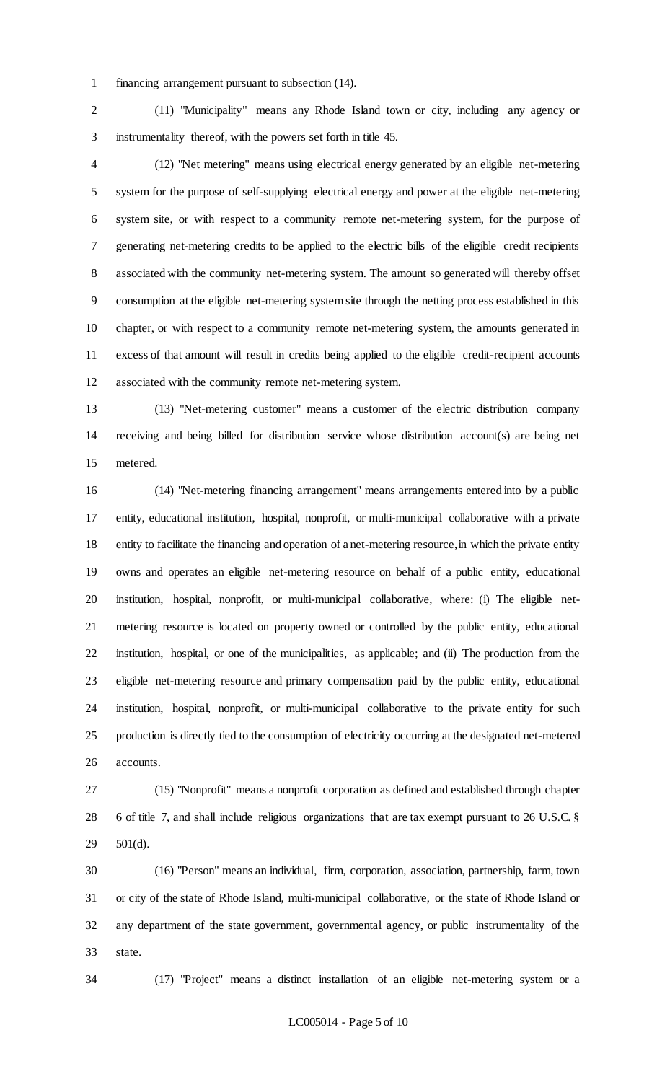financing arrangement pursuant to subsection (14).

 (11) "Municipality" means any Rhode Island town or city, including any agency or instrumentality thereof, with the powers set forth in title 45.

 (12) "Net metering" means using electrical energy generated by an eligible net-metering system for the purpose of self-supplying electrical energy and power at the eligible net-metering system site, or with respect to a community remote net-metering system, for the purpose of generating net-metering credits to be applied to the electric bills of the eligible credit recipients associated with the community net-metering system. The amount so generated will thereby offset consumption at the eligible net-metering system site through the netting process established in this chapter, or with respect to a community remote net-metering system, the amounts generated in excess of that amount will result in credits being applied to the eligible credit-recipient accounts associated with the community remote net-metering system.

 (13) "Net-metering customer" means a customer of the electric distribution company receiving and being billed for distribution service whose distribution account(s) are being net metered.

 (14) "Net-metering financing arrangement" means arrangements entered into by a public entity, educational institution, hospital, nonprofit, or multi-municipal collaborative with a private entity to facilitate the financing and operation of a net-metering resource, in which the private entity owns and operates an eligible net-metering resource on behalf of a public entity, educational institution, hospital, nonprofit, or multi-municipal collaborative, where: (i) The eligible net- metering resource is located on property owned or controlled by the public entity, educational institution, hospital, or one of the municipalities, as applicable; and (ii) The production from the eligible net-metering resource and primary compensation paid by the public entity, educational institution, hospital, nonprofit, or multi-municipal collaborative to the private entity for such production is directly tied to the consumption of electricity occurring at the designated net-metered accounts.

 (15) "Nonprofit" means a nonprofit corporation as defined and established through chapter 6 of title 7, and shall include religious organizations that are tax exempt pursuant to 26 U.S.C. § 501(d).

 (16) "Person" means an individual, firm, corporation, association, partnership, farm, town or city of the state of Rhode Island, multi-municipal collaborative, or the state of Rhode Island or any department of the state government, governmental agency, or public instrumentality of the state.

(17) "Project" means a distinct installation of an eligible net-metering system or a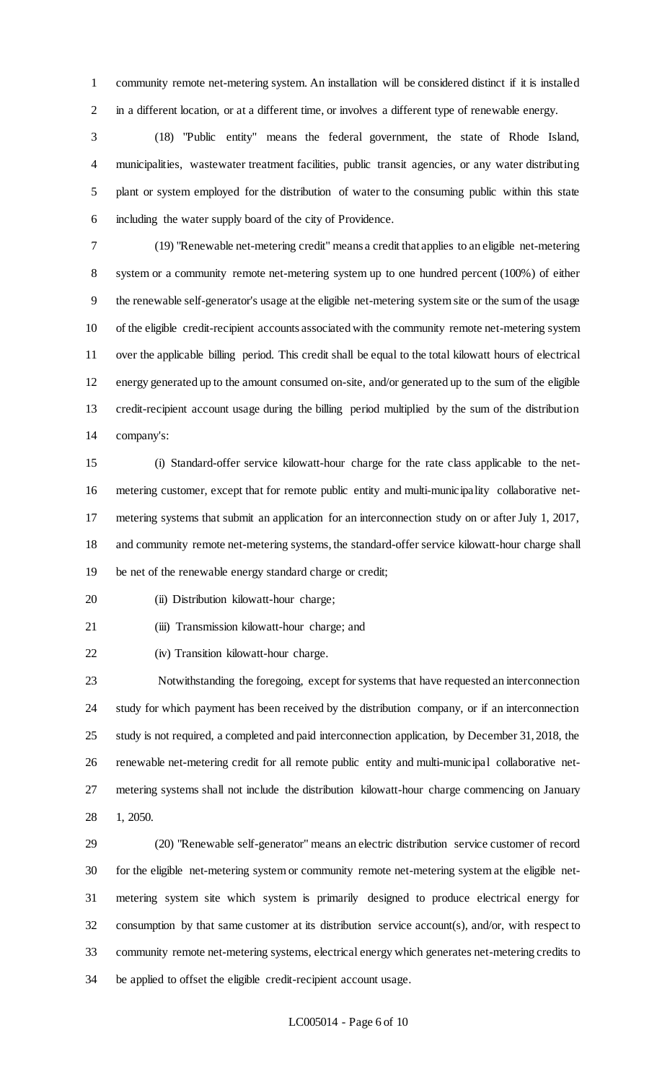community remote net-metering system. An installation will be considered distinct if it is installed in a different location, or at a different time, or involves a different type of renewable energy.

 (18) "Public entity" means the federal government, the state of Rhode Island, municipalities, wastewater treatment facilities, public transit agencies, or any water distributing plant or system employed for the distribution of water to the consuming public within this state including the water supply board of the city of Providence.

 (19) "Renewable net-metering credit" means a credit that applies to an eligible net-metering system or a community remote net-metering system up to one hundred percent (100%) of either the renewable self-generator's usage at the eligible net-metering system site or the sum of the usage of the eligible credit-recipient accounts associated with the community remote net-metering system over the applicable billing period. This credit shall be equal to the total kilowatt hours of electrical energy generated up to the amount consumed on-site, and/or generated up to the sum of the eligible credit-recipient account usage during the billing period multiplied by the sum of the distribution company's:

 (i) Standard-offer service kilowatt-hour charge for the rate class applicable to the net- metering customer, except that for remote public entity and multi-municipality collaborative net- metering systems that submit an application for an interconnection study on or after July 1, 2017, and community remote net-metering systems, the standard-offer service kilowatt-hour charge shall be net of the renewable energy standard charge or credit;

20 (ii) Distribution kilowatt-hour charge;

(iii) Transmission kilowatt-hour charge; and

(iv) Transition kilowatt-hour charge.

 Notwithstanding the foregoing, except for systems that have requested an interconnection study for which payment has been received by the distribution company, or if an interconnection study is not required, a completed and paid interconnection application, by December 31, 2018, the renewable net-metering credit for all remote public entity and multi-municipal collaborative net- metering systems shall not include the distribution kilowatt-hour charge commencing on January 1, 2050.

 (20) "Renewable self-generator" means an electric distribution service customer of record for the eligible net-metering system or community remote net-metering system at the eligible net- metering system site which system is primarily designed to produce electrical energy for consumption by that same customer at its distribution service account(s), and/or, with respect to community remote net-metering systems, electrical energy which generates net-metering credits to be applied to offset the eligible credit-recipient account usage.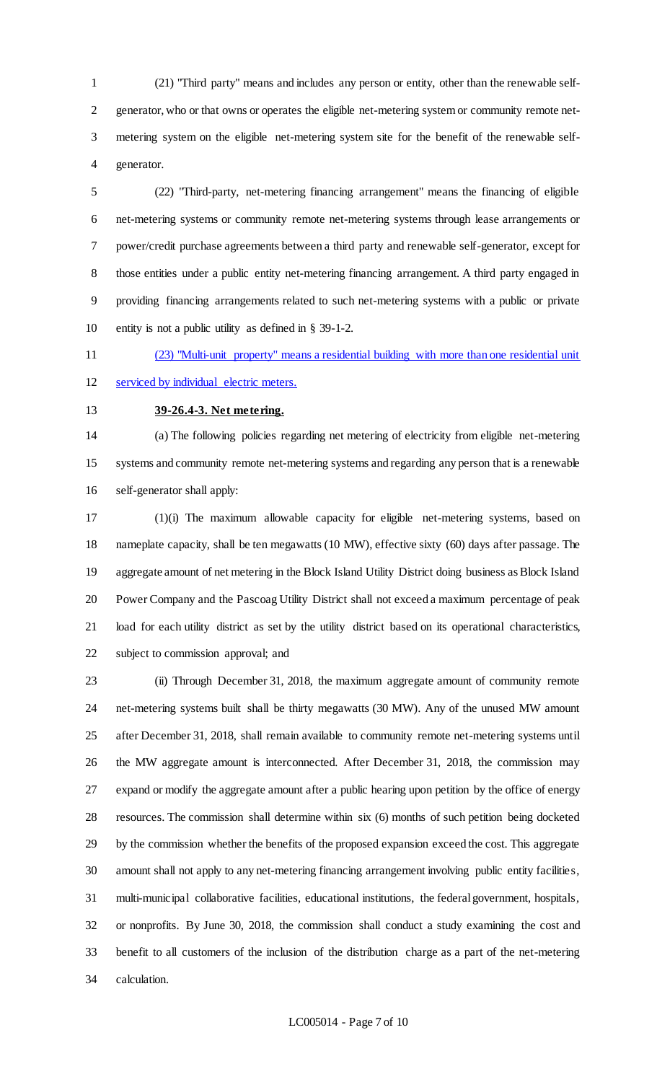(21) "Third party" means and includes any person or entity, other than the renewable self- generator, who or that owns or operates the eligible net-metering system or community remote net- metering system on the eligible net-metering system site for the benefit of the renewable self-generator.

 (22) "Third-party, net-metering financing arrangement" means the financing of eligible net-metering systems or community remote net-metering systems through lease arrangements or power/credit purchase agreements between a third party and renewable self-generator, except for those entities under a public entity net-metering financing arrangement. A third party engaged in providing financing arrangements related to such net-metering systems with a public or private entity is not a public utility as defined in § 39-1-2.

(23) "Multi-unit property" means a residential building with more than one residential unit

serviced by individual electric meters.

# **39-26.4-3. Net metering.**

 (a) The following policies regarding net metering of electricity from eligible net-metering systems and community remote net-metering systems and regarding any person that is a renewable self-generator shall apply:

 (1)(i) The maximum allowable capacity for eligible net-metering systems, based on nameplate capacity, shall be ten megawatts (10 MW), effective sixty (60) days after passage. The aggregate amount of net metering in the Block Island Utility District doing business as Block Island Power Company and the Pascoag Utility District shall not exceed a maximum percentage of peak load for each utility district as set by the utility district based on its operational characteristics, subject to commission approval; and

 (ii) Through December 31, 2018, the maximum aggregate amount of community remote net-metering systems built shall be thirty megawatts (30 MW). Any of the unused MW amount after December 31, 2018, shall remain available to community remote net-metering systems until the MW aggregate amount is interconnected. After December 31, 2018, the commission may expand or modify the aggregate amount after a public hearing upon petition by the office of energy resources. The commission shall determine within six (6) months of such petition being docketed by the commission whether the benefits of the proposed expansion exceed the cost. This aggregate amount shall not apply to any net-metering financing arrangement involving public entity facilities, multi-municipal collaborative facilities, educational institutions, the federal government, hospitals, or nonprofits. By June 30, 2018, the commission shall conduct a study examining the cost and benefit to all customers of the inclusion of the distribution charge as a part of the net-metering calculation.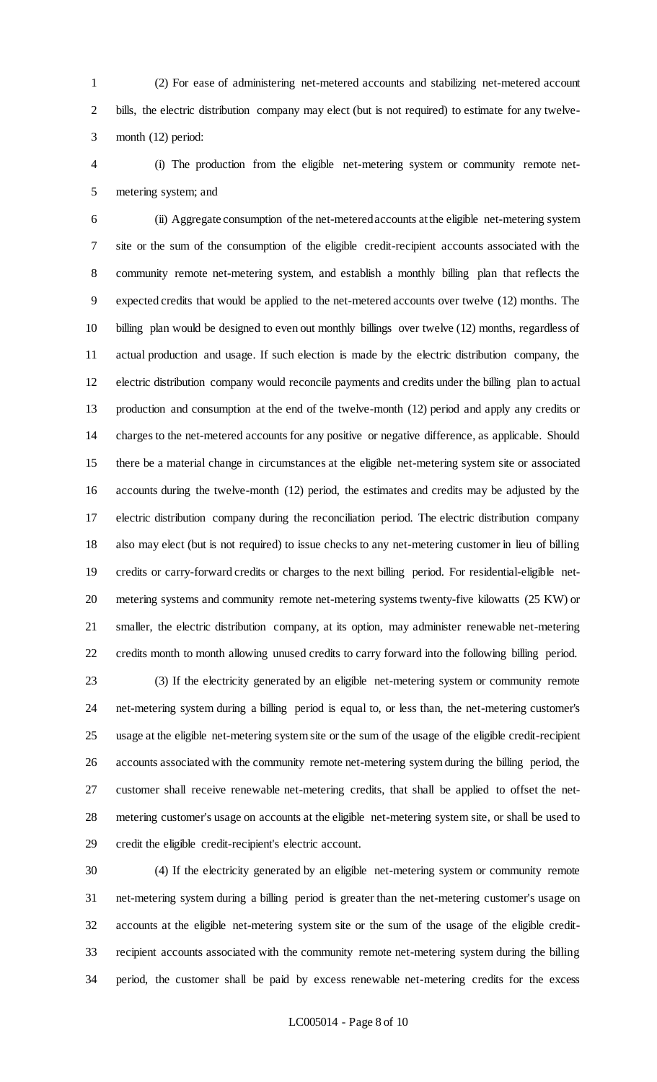(2) For ease of administering net-metered accounts and stabilizing net-metered account bills, the electric distribution company may elect (but is not required) to estimate for any twelve-month (12) period:

 (i) The production from the eligible net-metering system or community remote net-metering system; and

 (ii) Aggregate consumption of the net-metered accounts at the eligible net-metering system site or the sum of the consumption of the eligible credit-recipient accounts associated with the community remote net-metering system, and establish a monthly billing plan that reflects the expected credits that would be applied to the net-metered accounts over twelve (12) months. The billing plan would be designed to even out monthly billings over twelve (12) months, regardless of actual production and usage. If such election is made by the electric distribution company, the electric distribution company would reconcile payments and credits under the billing plan to actual production and consumption at the end of the twelve-month (12) period and apply any credits or charges to the net-metered accounts for any positive or negative difference, as applicable. Should there be a material change in circumstances at the eligible net-metering system site or associated accounts during the twelve-month (12) period, the estimates and credits may be adjusted by the electric distribution company during the reconciliation period. The electric distribution company also may elect (but is not required) to issue checks to any net-metering customer in lieu of billing credits or carry-forward credits or charges to the next billing period. For residential-eligible net- metering systems and community remote net-metering systems twenty-five kilowatts (25 KW) or smaller, the electric distribution company, at its option, may administer renewable net-metering credits month to month allowing unused credits to carry forward into the following billing period.

 (3) If the electricity generated by an eligible net-metering system or community remote net-metering system during a billing period is equal to, or less than, the net-metering customer's usage at the eligible net-metering system site or the sum of the usage of the eligible credit-recipient accounts associated with the community remote net-metering system during the billing period, the customer shall receive renewable net-metering credits, that shall be applied to offset the net- metering customer's usage on accounts at the eligible net-metering system site, or shall be used to credit the eligible credit-recipient's electric account.

 (4) If the electricity generated by an eligible net-metering system or community remote net-metering system during a billing period is greater than the net-metering customer's usage on accounts at the eligible net-metering system site or the sum of the usage of the eligible credit- recipient accounts associated with the community remote net-metering system during the billing period, the customer shall be paid by excess renewable net-metering credits for the excess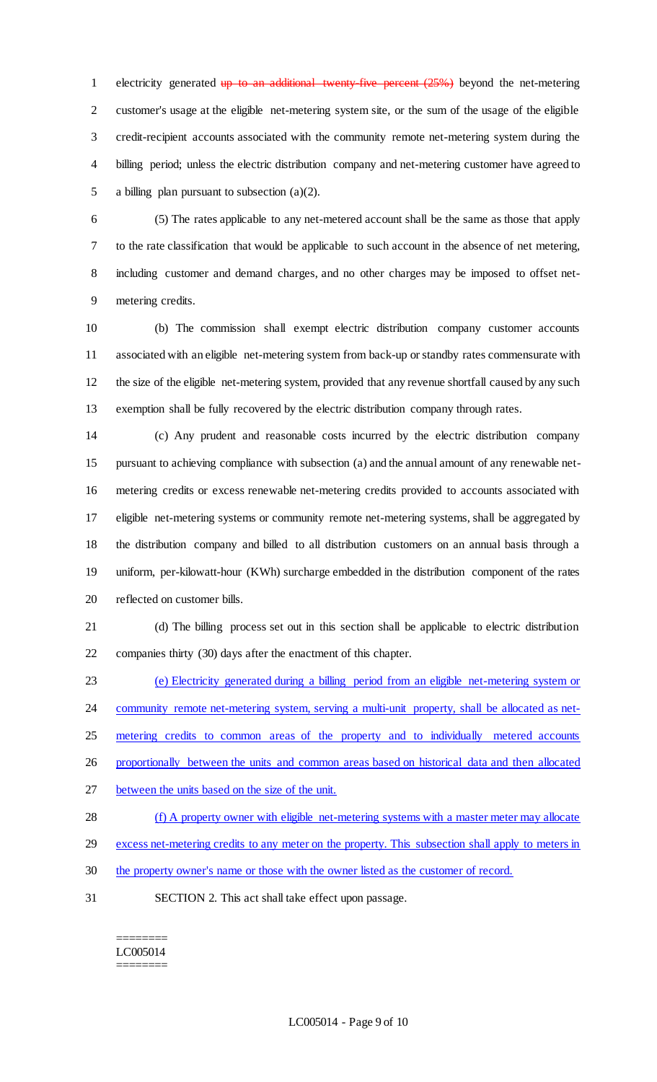1 electricity generated  $up$  to an additional twenty-five percent  $(25%)$  beyond the net-metering customer's usage at the eligible net-metering system site, or the sum of the usage of the eligible credit-recipient accounts associated with the community remote net-metering system during the billing period; unless the electric distribution company and net-metering customer have agreed to a billing plan pursuant to subsection (a)(2).

 (5) The rates applicable to any net-metered account shall be the same as those that apply to the rate classification that would be applicable to such account in the absence of net metering, including customer and demand charges, and no other charges may be imposed to offset net-metering credits.

 (b) The commission shall exempt electric distribution company customer accounts associated with an eligible net-metering system from back-up or standby rates commensurate with the size of the eligible net-metering system, provided that any revenue shortfall caused by any such exemption shall be fully recovered by the electric distribution company through rates.

 (c) Any prudent and reasonable costs incurred by the electric distribution company pursuant to achieving compliance with subsection (a) and the annual amount of any renewable net- metering credits or excess renewable net-metering credits provided to accounts associated with eligible net-metering systems or community remote net-metering systems, shall be aggregated by the distribution company and billed to all distribution customers on an annual basis through a uniform, per-kilowatt-hour (KWh) surcharge embedded in the distribution component of the rates reflected on customer bills.

 (d) The billing process set out in this section shall be applicable to electric distribution companies thirty (30) days after the enactment of this chapter.

 (e) Electricity generated during a billing period from an eligible net-metering system or 24 community remote net-metering system, serving a multi-unit property, shall be allocated as net- metering credits to common areas of the property and to individually metered accounts proportionally between the units and common areas based on historical data and then allocated between the units based on the size of the unit.

28 (f) A property owner with eligible net-metering systems with a master meter may allocate 29 excess net-metering credits to any meter on the property. This subsection shall apply to meters in

- the property owner's name or those with the owner listed as the customer of record.
- SECTION 2. This act shall take effect upon passage.

======== LC005014 ========